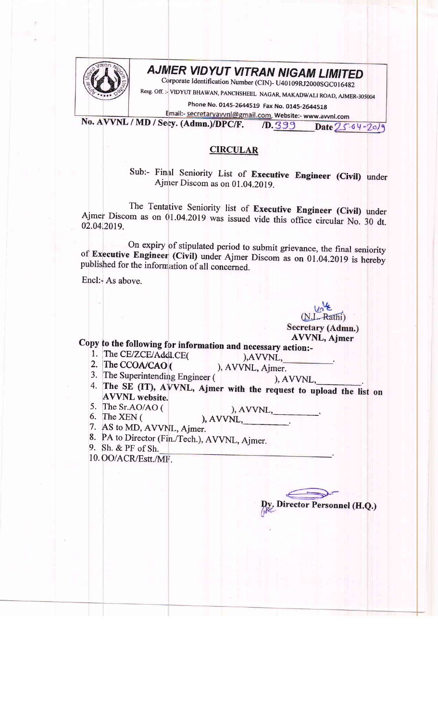

## **AJMER VIDYUT VITRAN NIGAM LIMITED**

Corporate Identification Number (CIN)- U40109RJ2000SGC016482

Resg. Off.: VIDYUT BHAWAN, PANCHSHEEL NAGAR, MAKADWALI ROAD, AJMER-305004

Phone No. 0145-2644519 Fax No. 0145-2644518

Email:- secretaryavvnl@gmail.com, Website:- www.avvnl.com No. AVVNL / MD / Secy. (Admn.)/DPC/F.  $10.399$  Date  $25.64 - 20/9$ 

## **CIRCULAR**

Sub:- Final Seniority List of Executive Engineer (Civil) under Ajmer Discom as on 01.04.2019.

The Tentative Seniority list of Executive Engineer (Civil) under Ajmer Discom as on 01.04.2019 was issued vide this office circular No. 30 dt. 02.04.2019.

On expiry of stipulated period to submit grievance, the final seniority of Executive Engineer (Civil) under Ajmer Discom as on 01.04.2019 is hereby published for the information of all concerned.

Encl: As above.

(N.L. Rathi) Secretary (Admn.) **AVVNL, Ajmer** 

Copy to the following for information and necessary action:-

- 1. The CE/ZCE/Addl.CE(
- 2. The CCOA/CAO (

), AVVNL, ), AVVNL, Ajmer.

- 3. The Superintending Engineer (
- ), AVVNL, 4. The SE (IT), AVVNL, Ajmer with the request to upload the list on **AVVNL** website.
- 5. The Sr.AO/AO ( 6. The XEN  $($
- ), AVVNL, ), AVVNL,
- 7. AS to MD, AVVNL, Ajmer.
- 8. PA to Director (Fin./Tech.), AVVNL, Ajmer.
- 9. Sh. & PF of Sh.

10. OO/ACR/Estt./MF.

**Director Personnel (H.Q.)**